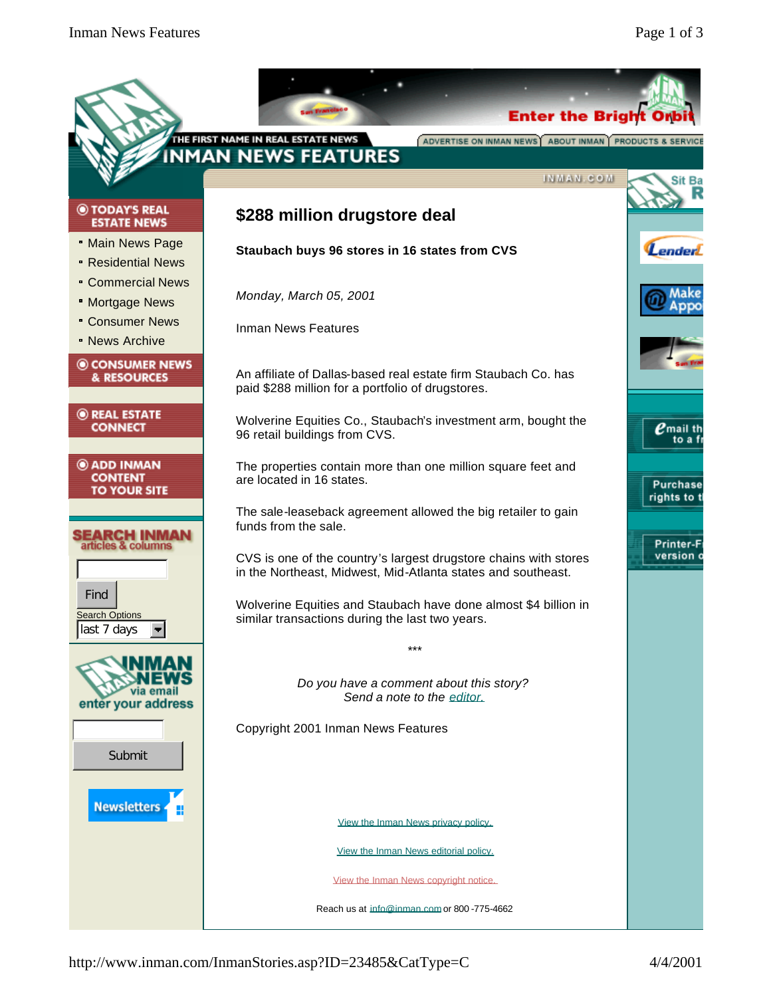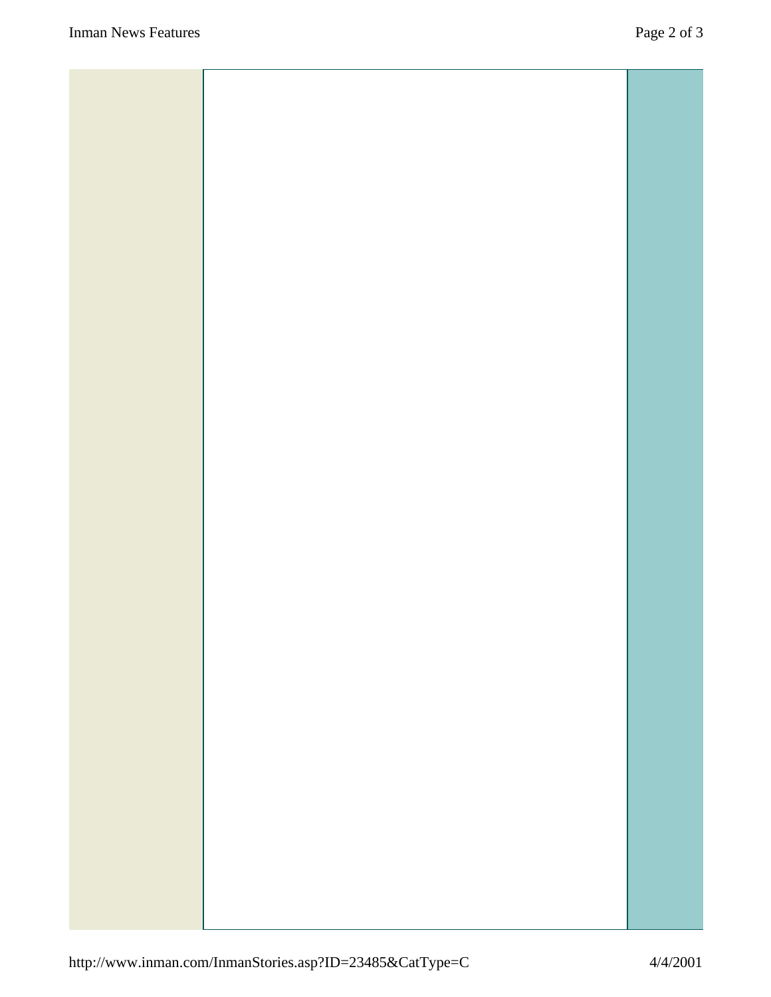